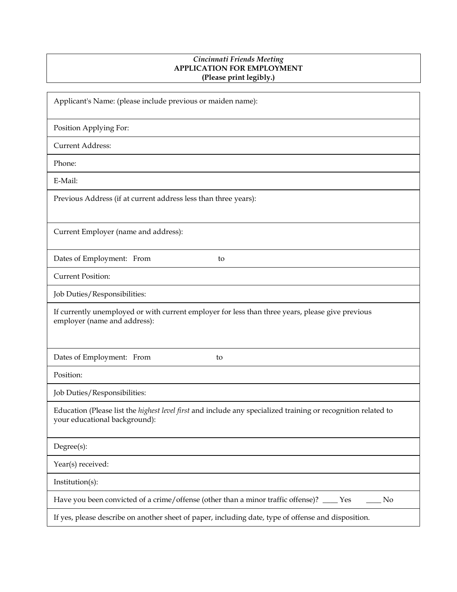## *Cincinnati Friends Meeting* **APPLICATION FOR EMPLOYMENT (Please print legibly.)**

| Applicant's Name: (please include previous or maiden name):                                                                                           |
|-------------------------------------------------------------------------------------------------------------------------------------------------------|
| Position Applying For:                                                                                                                                |
| <b>Current Address:</b>                                                                                                                               |
| Phone:                                                                                                                                                |
| E-Mail:                                                                                                                                               |
| Previous Address (if at current address less than three years):                                                                                       |
| Current Employer (name and address):                                                                                                                  |
| Dates of Employment: From<br>to                                                                                                                       |
| <b>Current Position:</b>                                                                                                                              |
| Job Duties/Responsibilities:                                                                                                                          |
| If currently unemployed or with current employer for less than three years, please give previous<br>employer (name and address):                      |
| Dates of Employment: From<br>to                                                                                                                       |
| Position:                                                                                                                                             |
| Job Duties/Responsibilities:                                                                                                                          |
| Education (Please list the <i>highest level first</i> and include any specialized training or recognition related to<br>your educational background): |
| Degree(s):                                                                                                                                            |
| Year(s) received:                                                                                                                                     |
| Institution(s):                                                                                                                                       |
| Have you been convicted of a crime/offense (other than a minor traffic offense)? ____ Yes<br>N <sub>o</sub>                                           |
| If yes, please describe on another sheet of paper, including date, type of offense and disposition.                                                   |